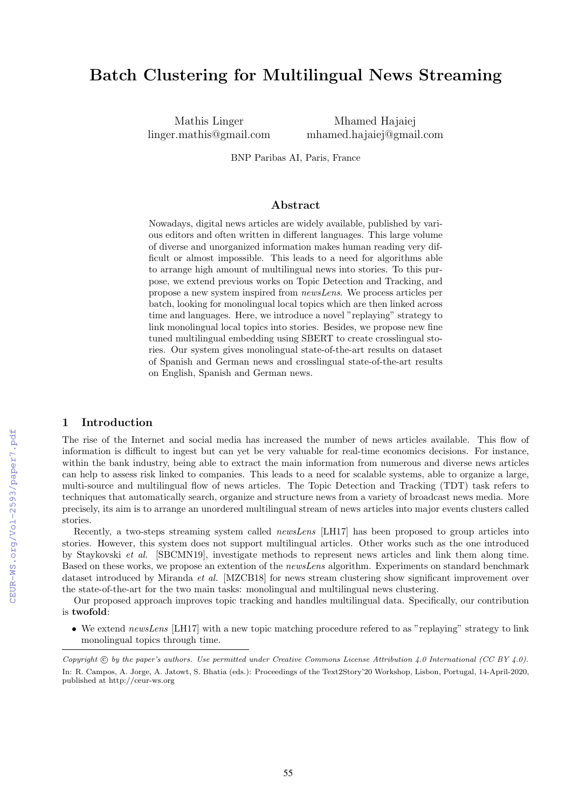# Batch Clustering for Multilingual News Streaming

Mathis Linger linger.mathis@gmail.com

Mhamed Hajaiej mhamed.hajaiej@gmail.com

BNP Paribas AI, Paris, France

### Abstract

Nowadays, digital news articles are widely available, published by various editors and often written in different languages. This large volume of diverse and unorganized information makes human reading very difficult or almost impossible. This leads to a need for algorithms able to arrange high amount of multilingual news into stories. To this purpose, we extend previous works on Topic Detection and Tracking, and propose a new system inspired from *newsLens*. We process articles per batch, looking for monolingual local topics which are then linked across time and languages. Here, we introduce a novel "replaying" strategy to link monolingual local topics into stories. Besides, we propose new fine tuned multilingual embedding using SBERT to create crosslingual stories. Our system gives monolingual state-of-the-art results on dataset of Spanish and German news and crosslingual state-of-the-art results on English, Spanish and German news.

### 1 Introduction

The rise of the Internet and social media has increased the number of news articles available. This flow of information is difficult to ingest but can yet be very valuable for real-time economics decisions. For instance, within the bank industry, being able to extract the main information from numerous and diverse news articles can help to assess risk linked to companies. This leads to a need for scalable systems, able to organize a large, multi-source and multilingual flow of news articles. The Topic Detection and Tracking (TDT) task refers to techniques that automatically search, organize and structure news from a variety of broadcast news media. More precisely, its aim is to arrange an unordered multilingual stream of news articles into major events clusters called stories.

Recently, a two-steps streaming system called *newsLens* [LH17] has been proposed to group articles into stories. However, this system does not support multilingual articles. Other works such as the one introduced by Staykovski *et al.* [SBCMN19], investigate methods to represent news articles and link them along time. Based on these works, we propose an extention of the *newsLens* algorithm. Experiments on standard benchmark dataset introduced by Miranda *et al.* [MZCB18] for news stream clustering show significant improvement over the state-of-the-art for the two main tasks: monolingual and multilingual news clustering.

Our proposed approach improves topic tracking and handles multilingual data. Specifically, our contribution is twofold:

• We extend *newsLens* [LH17] with a new topic matching procedure refered to as "replaying" strategy to link monolingual topics through time.

*Copyright*  $\odot$  *by the paper's authors. Use permitted under Creative Commons License Attribution 4.0 International (CC BY 4.0).* In: R. Campos, A. Jorge, A. Jatowt, S. Bhatia (eds.): Proceedings of the Text2Story'20 Workshop, Lisbon, Portugal, 14-April-2020, published at http://ceur-ws.org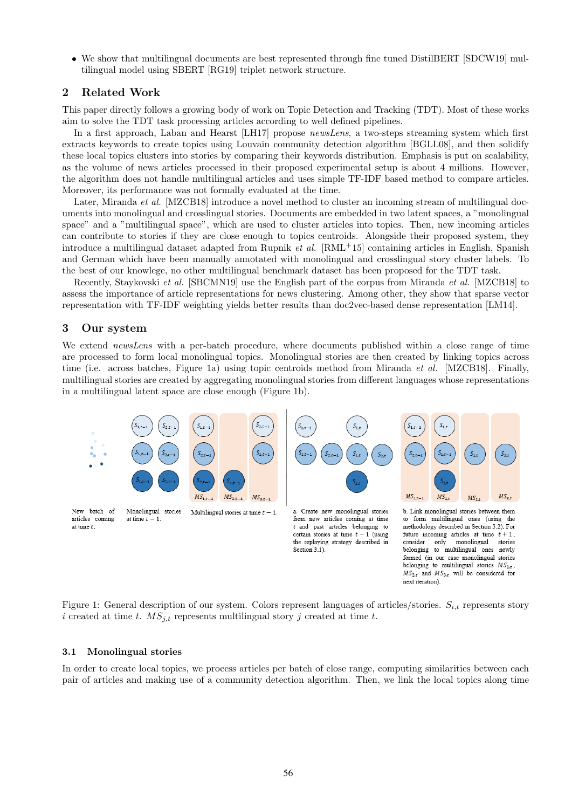• We show that multilingual documents are best represented through fine tuned DistilBERT [SDCW19] multilingual model using SBERT [RG19] triplet network structure.

# 2 Related Work

This paper directly follows a growing body of work on Topic Detection and Tracking (TDT). Most of these works aim to solve the TDT task processing articles according to well defined pipelines.

In a first approach, Laban and Hearst [LH17] propose *newsLens*, a two-steps streaming system which first extracts keywords to create topics using Louvain community detection algorithm [BGLL08], and then solidify these local topics clusters into stories by comparing their keywords distribution. Emphasis is put on scalability, as the volume of news articles processed in their proposed experimental setup is about 4 millions. However, the algorithm does not handle multilingual articles and uses simple TF-IDF based method to compare articles. Moreover, its performance was not formally evaluated at the time.

Later, Miranda *et al.* [MZCB18] introduce a novel method to cluster an incoming stream of multilingual documents into monolingual and crosslingual stories. Documents are embedded in two latent spaces, a "monolingual space" and a "multilingual space", which are used to cluster articles into topics. Then, new incoming articles can contribute to stories if they are close enough to topics centroids. Alongside their proposed system, they introduce a multilingual dataset adapted from Rupnik *et al.* [RML+15] containing articles in English, Spanish and German which have been manually annotated with monolingual and crosslingual story cluster labels. To the best of our knowlege, no other multilingual benchmark dataset has been proposed for the TDT task.

Recently, Staykovski *et al.* [SBCMN19] use the English part of the corpus from Miranda *et al.* [MZCB18] to assess the importance of article representations for news clustering. Among other, they show that sparse vector representation with TF-IDF weighting yields better results than doc2vec-based dense representation [LM14].

### 3 Our system

We extend *newsLens* with a per-batch procedure, where documents published within a close range of time are processed to form local monolingual topics. Monolingual stories are then created by linking topics across time (i.e. across batches, Figure 1a) using topic centroids method from Miranda *et al.* [MZCB18]. Finally, multilingual stories are created by aggregating monolingual stories from different languages whose representations in a multilingual latent space are close enough (Figure 1b).



Figure 1: General description of our system. Colors represent languages of articles/stories. *Si,t* represents story *i* created at time *t*.  $MS_{j,t}$  represents multilingual story *j* created at time *t*.

### 3.1 Monolingual stories

In order to create local topics, we process articles per batch of close range, computing similarities between each pair of articles and making use of a community detection algorithm. Then, we link the local topics along time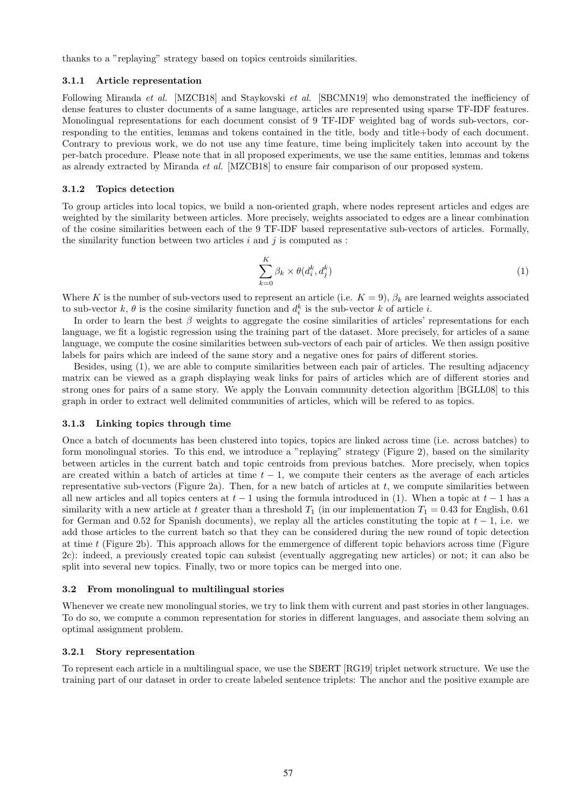thanks to a "replaying" strategy based on topics centroids similarities.

### 3.1.1 Article representation

Following Miranda *et al.* [MZCB18] and Staykovski *et al.* [SBCMN19] who demonstrated the inefficiency of dense features to cluster documents of a same language, articles are represented using sparse TF-IDF features. Monolingual representations for each document consist of 9 TF-IDF weighted bag of words sub-vectors, corresponding to the entities, lemmas and tokens contained in the title, body and title+body of each document. Contrary to previous work, we do not use any time feature, time being implicitely taken into account by the per-batch procedure. Please note that in all proposed experiments, we use the same entities, lemmas and tokens as already extracted by Miranda *et al.* [MZCB18] to ensure fair comparison of our proposed system.

### 3.1.2 Topics detection

To group articles into local topics, we build a non-oriented graph, where nodes represent articles and edges are weighted by the similarity between articles. More precisely, weights associated to edges are a linear combination of the cosine similarities between each of the 9 TF-IDF based representative sub-vectors of articles. Formally, the similarity function between two articles *i* and *j* is computed as :

$$
\sum_{k=0}^{K} \beta_k \times \theta(d_i^k, d_j^k)
$$
\n(1)

Where *K* is the number of sub-vectors used to represent an article (i.e.  $K = 9$ ),  $\beta_k$  are learned weights associated to sub-vector  $k, \theta$  is the cosine similarity function and  $d_i^k$  is the sub-vector  $k$  of article  $i$ .

In order to learn the best  $\beta$  weights to aggregate the cosine similarities of articles' representations for each language, we fit a logistic regression using the training part of the dataset. More precisely, for articles of a same language, we compute the cosine similarities between sub-vectors of each pair of articles. We then assign positive labels for pairs which are indeed of the same story and a negative ones for pairs of different stories.

Besides, using (1), we are able to compute similarities between each pair of articles. The resulting adjacency matrix can be viewed as a graph displaying weak links for pairs of articles which are of different stories and strong ones for pairs of a same story. We apply the Louvain community detection algorithm [BGLL08] to this graph in order to extract well delimited communities of articles, which will be refered to as topics.

#### 3.1.3 Linking topics through time

Once a batch of documents has been clustered into topics, topics are linked across time (i.e. across batches) to form monolingual stories. To this end, we introduce a "replaying" strategy (Figure 2), based on the similarity between articles in the current batch and topic centroids from previous batches. More precisely, when topics are created within a batch of articles at time  $t-1$ , we compute their centers as the average of each articles representative sub-vectors (Figure 2a). Then, for a new batch of articles at  $t$ , we compute similarities between all new articles and all topics centers at  $t-1$  using the formula introduced in (1). When a topic at  $t-1$  has a similarity with a new article at *t* greater than a threshold  $T_1$  (in our implementation  $T_1 = 0.43$  for English, 0.61 for German and 0.52 for Spanish documents), we replay all the articles constituting the topic at  $t-1$ , i.e. we add those articles to the current batch so that they can be considered during the new round of topic detection at time  $t$  (Figure 2b). This approach allows for the emmergence of different topic behaviors across time (Figure 2c): indeed, a previously created topic can subsist (eventually aggregating new articles) or not; it can also be split into several new topics. Finally, two or more topics can be merged into one.

### 3.2 From monolingual to multilingual stories

Whenever we create new monolingual stories, we try to link them with current and past stories in other languages. To do so, we compute a common representation for stories in different languages, and associate them solving an optimal assignment problem.

#### 3.2.1 Story representation

To represent each article in a multilingual space, we use the SBERT [RG19] triplet network structure. We use the training part of our dataset in order to create labeled sentence triplets: The anchor and the positive example are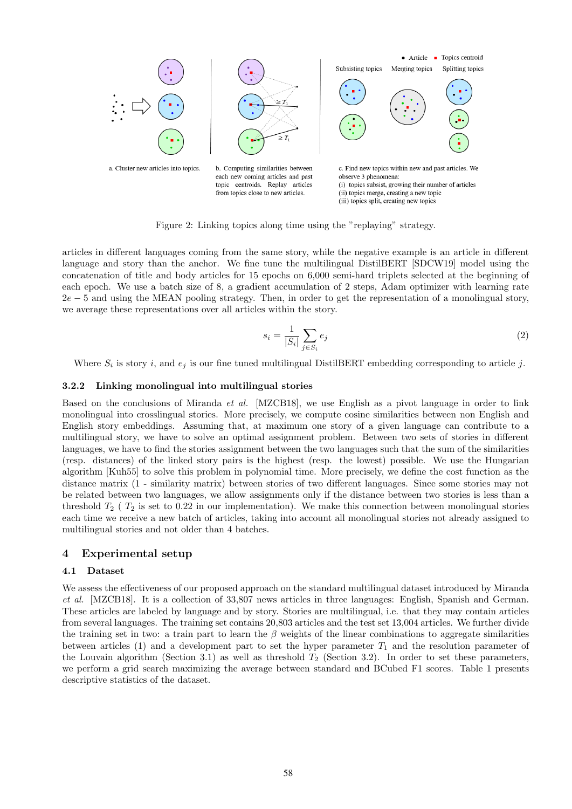

Figure 2: Linking topics along time using the "replaying" strategy.

articles in different languages coming from the same story, while the negative example is an article in different language and story than the anchor. We fine tune the multilingual DistilBERT [SDCW19] model using the concatenation of title and body articles for 15 epochs on 6,000 semi-hard triplets selected at the beginning of each epoch. We use a batch size of 8, a gradient accumulation of 2 steps, Adam optimizer with learning rate 2*e* 5 and using the MEAN pooling strategy. Then, in order to get the representation of a monolingual story, we average these representations over all articles within the story.

$$
s_i = \frac{1}{|S_i|} \sum_{j \in S_i} e_j \tag{2}
$$

Where  $S_i$  is story *i*, and  $e_i$  is our fine tuned multilingual DistilBERT embedding corresponding to article *j*.

### 3.2.2 Linking monolingual into multilingual stories

Based on the conclusions of Miranda *et al.* [MZCB18], we use English as a pivot language in order to link monolingual into crosslingual stories. More precisely, we compute cosine similarities between non English and English story embeddings. Assuming that, at maximum one story of a given language can contribute to a multilingual story, we have to solve an optimal assignment problem. Between two sets of stories in different languages, we have to find the stories assignment between the two languages such that the sum of the similarities (resp. distances) of the linked story pairs is the highest (resp. the lowest) possible. We use the Hungarian algorithm [Kuh55] to solve this problem in polynomial time. More precisely, we define the cost function as the distance matrix (1 - similarity matrix) between stories of two different languages. Since some stories may not be related between two languages, we allow assignments only if the distance between two stories is less than a threshold *T*<sup>2</sup> ( *T*<sup>2</sup> is set to 0.22 in our implementation). We make this connection between monolingual stories each time we receive a new batch of articles, taking into account all monolingual stories not already assigned to multilingual stories and not older than 4 batches.

### 4 Experimental setup

### 4.1 Dataset

We assess the effectiveness of our proposed approach on the standard multilingual dataset introduced by Miranda *et al.* [MZCB18]. It is a collection of 33,807 news articles in three languages: English, Spanish and German. These articles are labeled by language and by story. Stories are multilingual, i.e. that they may contain articles from several languages. The training set contains 20,803 articles and the test set 13,004 articles. We further divide the training set in two: a train part to learn the  $\beta$  weights of the linear combinations to aggregate similarities between articles  $(1)$  and a development part to set the hyper parameter  $T_1$  and the resolution parameter of the Louvain algorithm (Section 3.1) as well as threshold *T*<sup>2</sup> (Section 3.2). In order to set these parameters, we perform a grid search maximizing the average between standard and BCubed F1 scores. Table 1 presents descriptive statistics of the dataset.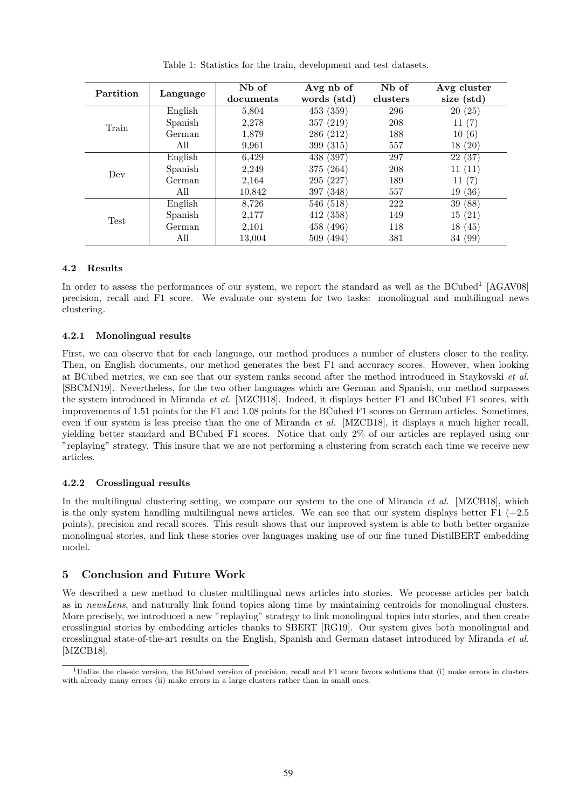| Partition | Language | Nb of<br>documents | Avg nb of<br>words (std) | N <sub>b</sub> of<br>clusters | Avg cluster<br>size (std) |
|-----------|----------|--------------------|--------------------------|-------------------------------|---------------------------|
| Train     | English  | 5,804              | 453 (359)                | 296                           | 20(25)                    |
|           | Spanish  | 2,278              | 357 (219)                | 208                           | 11(7)                     |
|           | German   | 1,879              | 286 (212)                | 188                           | 10(6)                     |
|           | All      | 9.961              | 399 (315)                | 557                           | 18(20)                    |
| Dev       | English  | 6,429              | 438 (397)                | 297                           | 22(37)                    |
|           | Spanish  | 2,249              | 375 (264)                | 208                           | 11(11)                    |
|           | German   | 2,164              | 295 (227)                | 189                           | 11(7)                     |
|           | All      | 10,842             | 397 (348)                | 557                           | 19(36)                    |
| Test      | English  | 8,726              | 546 (518)                | 222                           | 39 (88)                   |
|           | Spanish  | 2,177              | 412 (358)                | 149                           | 15(21)                    |
|           | German   | 2,101              | 458 (496)                | 118                           | 18(45)                    |
|           | All      | 13,004             | 509 (494)                | 381                           | 34 (99)                   |

Table 1: Statistics for the train, development and test datasets.

# 4.2 Results

In order to assess the performances of our system, we report the standard as well as the BCubed<sup>1</sup> [AGAV08] precision, recall and F1 score. We evaluate our system for two tasks: monolingual and multilingual news clustering.

# 4.2.1 Monolingual results

First, we can observe that for each language, our method produces a number of clusters closer to the reality. Then, on English documents, our method generates the best F1 and accuracy scores. However, when looking at BCubed metrics, we can see that our system ranks second after the method introduced in Staykovski *et al.* [SBCMN19]. Nevertheless, for the two other languages which are German and Spanish, our method surpasses the system introduced in Miranda *et al.* [MZCB18]. Indeed, it displays better F1 and BCubed F1 scores, with improvements of 1.51 points for the F1 and 1.08 points for the BCubed F1 scores on German articles. Sometimes, even if our system is less precise than the one of Miranda *et al.* [MZCB18], it displays a much higher recall, yielding better standard and BCubed F1 scores. Notice that only 2% of our articles are replayed using our "replaying" strategy. This insure that we are not performing a clustering from scratch each time we receive new articles.

# 4.2.2 Crosslingual results

In the multilingual clustering setting, we compare our system to the one of Miranda *et al.* [MZCB18], which is the only system handling multilingual news articles. We can see that our system displays better  $F1$  (+2.5) points), precision and recall scores. This result shows that our improved system is able to both better organize monolingual stories, and link these stories over languages making use of our fine tuned DistilBERT embedding model.

# 5 Conclusion and Future Work

We described a new method to cluster multilingual news articles into stories. We processe articles per batch as in *newsLens*, and naturally link found topics along time by maintaining centroids for monolingual clusters. More precisely, we introduced a new "replaying" strategy to link monolingual topics into stories, and then create crosslingual stories by embedding articles thanks to SBERT [RG19]. Our system gives both monolingual and crosslingual state-of-the-art results on the English, Spanish and German dataset introduced by Miranda *et al.* [MZCB18].

<sup>&</sup>lt;sup>1</sup>Unlike the classic version, the BCubed version of precision, recall and F1 score favors solutions that (i) make errors in clusters with already many errors (ii) make errors in a large clusters rather than in small ones.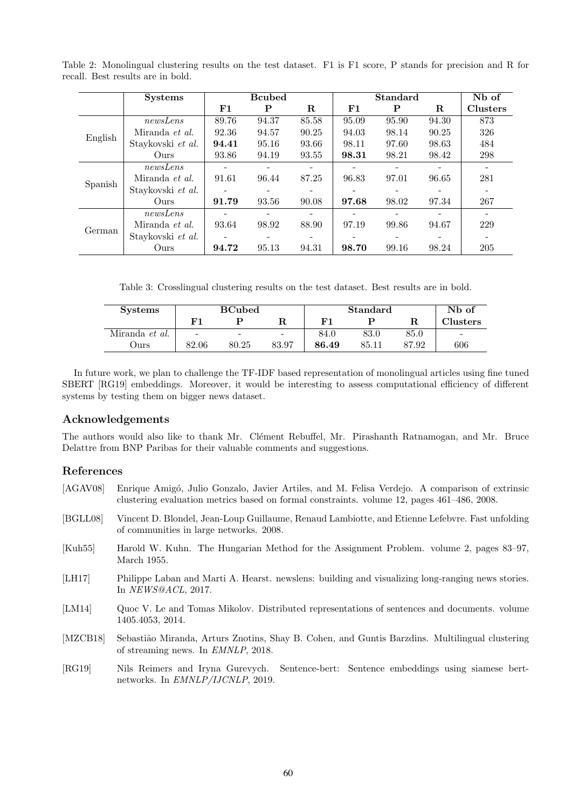|         | <b>Systems</b>        |                          | <b>B</b> cubed |                          |       | <b>Standard</b> |       | Nb of                    |
|---------|-----------------------|--------------------------|----------------|--------------------------|-------|-----------------|-------|--------------------------|
|         |                       | ${\bf F1}$               | P              | R                        | F1    | P               | R     | <b>Clusters</b>          |
| English | newsLens              | 89.76                    | 94.37          | 85.58                    | 95.09 | 95.90           | 94.30 | 873                      |
|         | Miranda <i>et al.</i> | 92.36                    | 94.57          | 90.25                    | 94.03 | 98.14           | 90.25 | 326                      |
|         | Staykovski et al.     | 94.41                    | 95.16          | 93.66                    | 98.11 | 97.60           | 98.63 | 484                      |
|         | Ours                  | 93.86                    | 94.19          | 93.55                    | 98.31 | 98.21           | 98.42 | 298                      |
| Spanish | newsLens              | $\overline{\phantom{0}}$ |                | -                        |       |                 | -     |                          |
|         | Miranda et al.        | 91.61                    | 96.44          | 87.25                    | 96.83 | 97.01           | 96.65 | 281                      |
|         | Staykovski et al.     | ۰                        |                | $\overline{\phantom{a}}$ |       |                 |       | $\overline{\phantom{a}}$ |
|         | Ours                  | 91.79                    | 93.56          | 90.08                    | 97.68 | 98.02           | 97.34 | 267                      |
| German  | newsLens              |                          |                |                          |       |                 |       |                          |
|         | Miranda et al.        | 93.64                    | 98.92          | 88.90                    | 97.19 | 99.86           | 94.67 | 229                      |
|         | Staykovski et al.     |                          |                |                          |       |                 |       |                          |
|         | Ours                  | 94.72                    | 95.13          | 94.31                    | 98.70 | 99.16           | 98.24 | 205                      |

Table 2: Monolingual clustering results on the test dataset. F1 is F1 score, P stands for precision and R for recall. Best results are in bold.

Table 3: Crosslingual clustering results on the test dataset. Best results are in bold.

| <b>Systems</b> | <b>BCubed</b> |                          |                          | <b>Standard</b> |       |       | N <sub>b</sub> of        |
|----------------|---------------|--------------------------|--------------------------|-----------------|-------|-------|--------------------------|
|                | F 1           |                          |                          | в.              |       |       | <b>Clusters</b>          |
| Miranda et al. | -             | $\overline{\phantom{a}}$ | $\overline{\phantom{a}}$ | 84.0            | 83.0  | 85.0  | $\overline{\phantom{a}}$ |
| Ours           | 82.06         | 80.25                    | 83.97                    | 86.49           | 85.11 | 87.92 | 606                      |

In future work, we plan to challenge the TF-IDF based representation of monolingual articles using fine tuned SBERT [RG19] embeddings. Moreover, it would be interesting to assess computational efficiency of different systems by testing them on bigger news dataset.

# Acknowledgements

The authors would also like to thank Mr. Clément Rebuffel, Mr. Pirashanth Ratnamogan, and Mr. Bruce Delattre from BNP Paribas for their valuable comments and suggestions.

# References

- [AGAV08] Enrique Amigó, Julio Gonzalo, Javier Artiles, and M. Felisa Verdejo. A comparison of extrinsic clustering evaluation metrics based on formal constraints. volume 12, pages 461–486, 2008. [BGLL08] Vincent D. Blondel, Jean-Loup Guillaume, Renaud Lambiotte, and Etienne Lefebvre. Fast unfolding of communities in large networks. 2008. [Kuh55] Harold W. Kuhn. The Hungarian Method for the Assignment Problem. volume 2, pages 83–97, March 1955. [LH17] Philippe Laban and Marti A. Hearst. newslens: building and visualizing long-ranging news stories. In *NEWS@ACL*, 2017. [LM14] Quoc V. Le and Tomas Mikolov. Distributed representations of sentences and documents. volume 1405.4053, 2014. [MZCB18] Sebastião Miranda, Arturs Znotins, Shay B. Cohen, and Guntis Barzdins. Multilingual clustering of streaming news. In *EMNLP*, 2018.
- [RG19] Nils Reimers and Iryna Gurevych. Sentence-bert: Sentence embeddings using siamese bertnetworks. In *EMNLP/IJCNLP*, 2019.